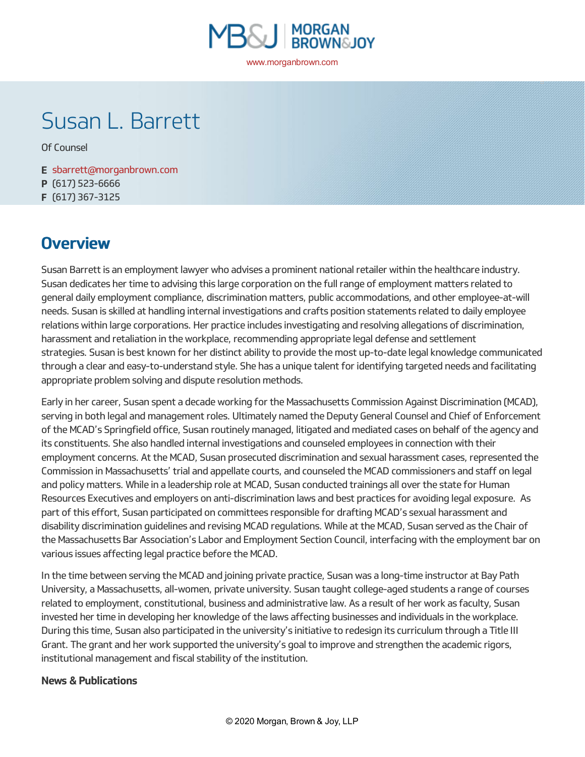

# Susan L. Barrett

Of [Counsel](https://www.morganbrown.com/news/attorney_title/of-counsel/)

**E** [sbarrett@morganbrown.com](mailto:sbarrett@morganbrown.com) **P** (617) 523-6666 **F** (617) 367-3125

## **Overview**

Susan Barrett is an employment lawyer who advises a prominent national retailer within the healthcare industry. Susan dedicates her time to advising this large corporation on the full range of employment matters related to general daily employment compliance, discrimination matters, public accommodations, and other employee-at-will needs. Susan is skilled at handling internal investigations and crafts position statements related to daily employee relations within large corporations. Her practice includes investigating and resolving allegations of discrimination, harassment and retaliation in the workplace, recommending appropriate legal defense and settlement strategies. Susan is best known for her distinct ability to provide the most up-to-date legal knowledge communicated through a clear and easy-to-understand style. She has a unique talent for identifying targeted needs and facilitating appropriate problem solving and dispute resolution methods.

Early in her career, Susan spent a decade working for the Massachusetts Commission Against Discrimination (MCAD), serving in both legal and management roles. Ultimately named the Deputy General Counsel and Chief of Enforcement of the MCAD's Springfield office, Susan routinely managed, litigated and mediated cases on behalf of the agency and its constituents. She also handled internal investigations and counseled employees in connection with their employment concerns. At the MCAD, Susan prosecuted discrimination and sexual harassment cases, represented the Commission in Massachusetts' trial and appellate courts, and counseled the MCAD commissioners and staff on legal and policy matters. While in a leadership role at MCAD, Susan conducted trainings all over the state for Human Resources Executives and employers on anti-discrimination laws and best practices for avoiding legal exposure. As part of this effort, Susan participated on committees responsible for drafting MCAD's sexual harassment and disability discrimination guidelines and revising MCAD regulations. While at the MCAD, Susan served as the Chair of the Massachusetts Bar Association's Labor and Employment Section Council, interfacing with the employment bar on various issues affecting legal practice before the MCAD.

In the time between serving the MCAD and joining private practice, Susan was a long-time instructor at Bay Path University, a Massachusetts, all-women, private university. Susan taught college-aged students a range of courses related to employment, constitutional, business and administrative law. As a result of her work as faculty, Susan invested her time in developing her knowledge of the laws affecting businesses and individuals in the workplace. During this time, Susan also participated in the university's initiative to redesign its curriculum through a Title III Grant. The grant and her work supported the university's goal to improve and strengthen the academic rigors, institutional management and fiscal stability of the institution.

#### **News & Publications**